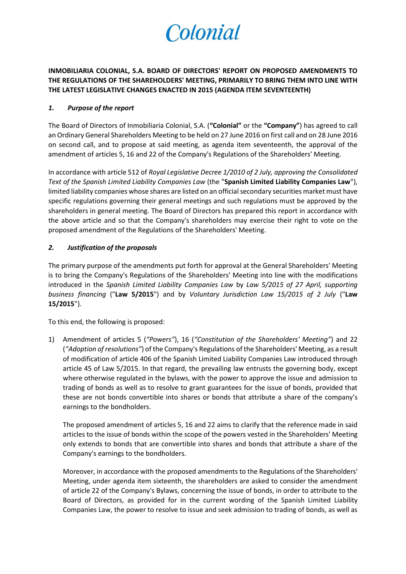

**INMOBILIARIA COLONIAL, S.A. BOARD OF DIRECTORS' REPORT ON PROPOSED AMENDMENTS TO THE REGULATIONS OF THE SHAREHOLDERS' MEETING, PRIMARILY TO BRING THEM INTO LINE WITH THE LATEST LEGISLATIVE CHANGES ENACTED IN 2015 (AGENDA ITEM SEVENTEENTH)**

# *1. Purpose of the report*

The Board of Directors of Inmobiliaria Colonial, S.A. (**"Colonial"** or the **"Company"**) has agreed to call an Ordinary General Shareholders Meeting to be held on 27 June 2016 on first call and on 28 June 2016 on second call, and to propose at said meeting, as agenda item seventeenth, the approval of the amendment of articles 5, 16 and 22 of the Company's Regulations of the Shareholders' Meeting.

In accordance with article 512 of *Royal Legislative Decree 1/2010 of 2 July, approving the Consolidated Text of the Spanish Limited Liability Companies Law* (the "**Spanish Limited Liability Companies Law**"), limited liability companies whose shares are listed on an official secondary securities market must have specific regulations governing their general meetings and such regulations must be approved by the shareholders in general meeting. The Board of Directors has prepared this report in accordance with the above article and so that the Company's shareholders may exercise their right to vote on the proposed amendment of the Regulations of the Shareholders' Meeting.

# *2. Justification of the proposals*

The primary purpose of the amendments put forth for approval at the General Shareholders' Meeting is to bring the Company's Regulations of the Shareholders' Meeting into line with the modifications introduced in the *Spanish Limited Liability Companies Law* by *Law 5/2015 of 27 April, supporting business financing* ("**Law 5/2015**") and by *Voluntary Jurisdiction Law 15/2015 of 2 July* ("**Law 15/2015**").

To this end, the following is proposed:

1) Amendment of articles 5 (*"Powers"*), 16 (*"Constitution of the Shareholders' Meeting"*) and 22 (*"Adoption of resolutions"*) of the Company's Regulations of the Shareholders' Meeting, as a result of modification of article 406 of the Spanish Limited Liability Companies Law introduced through article 45 of Law 5/2015. In that regard, the prevailing law entrusts the governing body, except where otherwise regulated in the bylaws, with the power to approve the issue and admission to trading of bonds as well as to resolve to grant guarantees for the issue of bonds, provided that these are not bonds convertible into shares or bonds that attribute a share of the company's earnings to the bondholders.

The proposed amendment of articles 5, 16 and 22 aims to clarify that the reference made in said articles to the issue of bonds within the scope of the powers vested in the Shareholders' Meeting only extends to bonds that are convertible into shares and bonds that attribute a share of the Company's earnings to the bondholders.

Moreover, in accordance with the proposed amendments to the Regulations of the Shareholders' Meeting, under agenda item sixteenth, the shareholders are asked to consider the amendment of article 22 of the Company's Bylaws, concerning the issue of bonds, in order to attribute to the Board of Directors, as provided for in the current wording of the Spanish Limited Liability Companies Law, the power to resolve to issue and seek admission to trading of bonds, as well as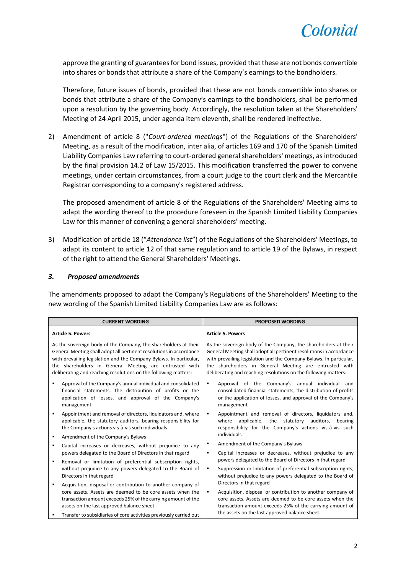

approve the granting of guarantees for bond issues, provided that these are not bonds convertible into shares or bonds that attribute a share of the Company's earnings to the bondholders.

Therefore, future issues of bonds, provided that these are not bonds convertible into shares or bonds that attribute a share of the Company's earnings to the bondholders, shall be performed upon a resolution by the governing body. Accordingly, the resolution taken at the Shareholders' Meeting of 24 April 2015, under agenda item eleventh, shall be rendered ineffective.

2) Amendment of article 8 ("*Court-ordered meetings*") of the Regulations of the Shareholders' Meeting, as a result of the modification, inter alia, of articles 169 and 170 of the Spanish Limited Liability Companies Law referring to court-ordered general shareholders' meetings, as introduced by the final provision 14.2 of Law 15/2015. This modification transferred the power to convene meetings, under certain circumstances, from a court judge to the court clerk and the Mercantile Registrar corresponding to a company's registered address.

The proposed amendment of article 8 of the Regulations of the Shareholders' Meeting aims to adapt the wording thereof to the procedure foreseen in the Spanish Limited Liability Companies Law for this manner of convening a general shareholders' meeting.

3) Modification of article 18 ("*Attendance list*") of the Regulations of the Shareholders' Meetings, to adapt its content to article 12 of that same regulation and to article 19 of the Bylaws, in respect of the right to attend the General Shareholders' Meetings.

#### *3. Proposed amendments*

The amendments proposed to adapt the Company's Regulations of the Shareholders' Meeting to the new wording of the Spanish Limited Liability Companies Law are as follows:

| <b>CURRENT WORDING</b>                                                                                                                                                                                                                                                                                                                    |                                                                                                                                                                                    |                                                                                                                       | <b>PROPOSED WORDING</b>                                                                                                                                                                                                                                                                                                                   |
|-------------------------------------------------------------------------------------------------------------------------------------------------------------------------------------------------------------------------------------------------------------------------------------------------------------------------------------------|------------------------------------------------------------------------------------------------------------------------------------------------------------------------------------|-----------------------------------------------------------------------------------------------------------------------|-------------------------------------------------------------------------------------------------------------------------------------------------------------------------------------------------------------------------------------------------------------------------------------------------------------------------------------------|
| <b>Article 5. Powers</b>                                                                                                                                                                                                                                                                                                                  |                                                                                                                                                                                    |                                                                                                                       | <b>Article 5. Powers</b>                                                                                                                                                                                                                                                                                                                  |
| As the sovereign body of the Company, the shareholders at their<br>General Meeting shall adopt all pertinent resolutions in accordance<br>with prevailing legislation and the Company Bylaws. In particular,<br>the shareholders in General Meeting are entrusted with<br>deliberating and reaching resolutions on the following matters: |                                                                                                                                                                                    |                                                                                                                       | As the sovereign body of the Company, the shareholders at their<br>General Meeting shall adopt all pertinent resolutions in accordance<br>with prevailing legislation and the Company Bylaws. In particular,<br>the shareholders in General Meeting are entrusted with<br>deliberating and reaching resolutions on the following matters: |
| ٠<br>management                                                                                                                                                                                                                                                                                                                           | Approval of the Company's annual individual and consolidated<br>financial statements, the distribution of profits or the<br>application of losses, and approval of the Company's   | ٠                                                                                                                     | Approval of the Company's annual individual and<br>consolidated financial statements, the distribution of profits<br>or the application of losses, and approval of the Company's<br>management                                                                                                                                            |
| ٠                                                                                                                                                                                                                                                                                                                                         | Appointment and removal of directors, liquidators and, where<br>applicable, the statutory auditors, bearing responsibility for<br>the Company's actions vis-à-vis such individuals | ٠                                                                                                                     | Appointment and removal of directors, liquidators and,<br>applicable, the<br>statutory<br>auditors,<br>where<br>bearing<br>responsibility for the Company's actions vis-à-vis such                                                                                                                                                        |
| ٠                                                                                                                                                                                                                                                                                                                                         | Amendment of the Company's Bylaws                                                                                                                                                  |                                                                                                                       | individuals                                                                                                                                                                                                                                                                                                                               |
| ٠                                                                                                                                                                                                                                                                                                                                         | Capital increases or decreases, without prejudice to any                                                                                                                           | ٠                                                                                                                     | Amendment of the Company's Bylaws                                                                                                                                                                                                                                                                                                         |
| powers delegated to the Board of Directors in that regard                                                                                                                                                                                                                                                                                 | п                                                                                                                                                                                  | Capital increases or decreases, without prejudice to any<br>powers delegated to the Board of Directors in that regard |                                                                                                                                                                                                                                                                                                                                           |
|                                                                                                                                                                                                                                                                                                                                           | Removal or limitation of preferential subscription rights,<br>without prejudice to any powers delegated to the Board of<br>Directors in that regard                                | ٠                                                                                                                     | Suppression or limitation of preferential subscription rights,<br>without prejudice to any powers delegated to the Board of                                                                                                                                                                                                               |
| ٠                                                                                                                                                                                                                                                                                                                                         | Acquisition, disposal or contribution to another company of                                                                                                                        |                                                                                                                       | Directors in that regard                                                                                                                                                                                                                                                                                                                  |
|                                                                                                                                                                                                                                                                                                                                           | core assets. Assets are deemed to be core assets when the<br>transaction amount exceeds 25% of the carrying amount of the<br>assets on the last approved balance sheet.            | ٠                                                                                                                     | Acquisition, disposal or contribution to another company of<br>core assets. Assets are deemed to be core assets when the<br>transaction amount exceeds 25% of the carrying amount of                                                                                                                                                      |
|                                                                                                                                                                                                                                                                                                                                           | Transfer to subsidiaries of core activities previously carried out                                                                                                                 |                                                                                                                       | the assets on the last approved balance sheet.                                                                                                                                                                                                                                                                                            |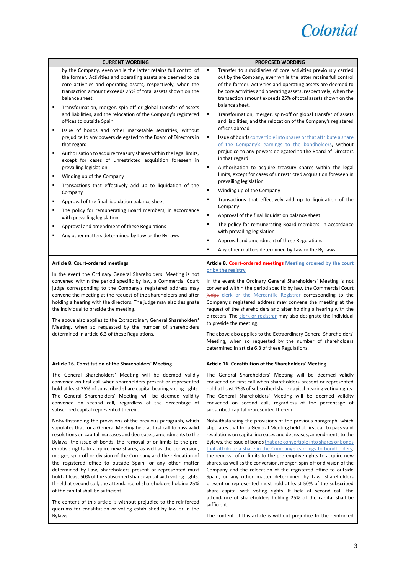

| <b>CURRENT WORDING</b>                                                                                                                                                                                                                                                                                                                                                                                                                                                                                                                                                                                                                                                                                                                                                                                                                                                                              |                                                                                                                                                                                                                                                                                                                                                                                                                                                                                                                                                                                                                                                                                                                                                                                                                                                                                                                                                                                                                                                                                                                | <b>PROPOSED WORDING</b>                                                                                                                                                                                                                                                                                                                                                                                                                                                                                                                                                                                                                                                                                                                                                                                                                                                                                                                                                                                                                                                                                                                                                                                                                                                                                                  |  |
|-----------------------------------------------------------------------------------------------------------------------------------------------------------------------------------------------------------------------------------------------------------------------------------------------------------------------------------------------------------------------------------------------------------------------------------------------------------------------------------------------------------------------------------------------------------------------------------------------------------------------------------------------------------------------------------------------------------------------------------------------------------------------------------------------------------------------------------------------------------------------------------------------------|----------------------------------------------------------------------------------------------------------------------------------------------------------------------------------------------------------------------------------------------------------------------------------------------------------------------------------------------------------------------------------------------------------------------------------------------------------------------------------------------------------------------------------------------------------------------------------------------------------------------------------------------------------------------------------------------------------------------------------------------------------------------------------------------------------------------------------------------------------------------------------------------------------------------------------------------------------------------------------------------------------------------------------------------------------------------------------------------------------------|--------------------------------------------------------------------------------------------------------------------------------------------------------------------------------------------------------------------------------------------------------------------------------------------------------------------------------------------------------------------------------------------------------------------------------------------------------------------------------------------------------------------------------------------------------------------------------------------------------------------------------------------------------------------------------------------------------------------------------------------------------------------------------------------------------------------------------------------------------------------------------------------------------------------------------------------------------------------------------------------------------------------------------------------------------------------------------------------------------------------------------------------------------------------------------------------------------------------------------------------------------------------------------------------------------------------------|--|
| ٠<br>٠<br>٠                                                                                                                                                                                                                                                                                                                                                                                                                                                                                                                                                                                                                                                                                                                                                                                                                                                                                         | by the Company, even while the latter retains full control of<br>the former. Activities and operating assets are deemed to be<br>core activities and operating assets, respectively, when the<br>transaction amount exceeds 25% of total assets shown on the<br>balance sheet.<br>Transformation, merger, spin-off or global transfer of assets<br>and liabilities, and the relocation of the Company's registered<br>offices to outside Spain<br>Issue of bonds and other marketable securities, without<br>prejudice to any powers delegated to the Board of Directors in<br>that regard<br>Authorisation to acquire treasury shares within the legal limits,<br>except for cases of unrestricted acquisition foreseen in<br>prevailing legislation<br>Winding up of the Company<br>Transactions that effectively add up to liquidation of the<br>Company<br>Approval of the final liquidation balance sheet<br>The policy for remunerating Board members, in accordance<br>with prevailing legislation<br>Approval and amendment of these Regulations<br>Any other matters determined by Law or the By-laws | ٠<br>Transfer to subsidiaries of core activities previously carried<br>out by the Company, even while the latter retains full control<br>of the former. Activities and operating assets are deemed to<br>be core activities and operating assets, respectively, when the<br>transaction amount exceeds 25% of total assets shown on the<br>balance sheet.<br>٠<br>Transformation, merger, spin-off or global transfer of assets<br>and liabilities, and the relocation of the Company's registered<br>offices abroad<br>Issue of bonds convertible into shares or that attribute a share<br>٠<br>of the Company's earnings to the bondholders, without<br>prejudice to any powers delegated to the Board of Directors<br>in that regard<br>$\blacksquare$<br>Authorisation to acquire treasury shares within the legal<br>limits, except for cases of unrestricted acquisition foreseen in<br>prevailing legislation<br>$\blacksquare$<br>Winding up of the Company<br>Transactions that effectively add up to liquidation of the<br>٠<br>Company<br>Approval of the final liquidation balance sheet<br>٠<br>The policy for remunerating Board members, in accordance<br>٠<br>with prevailing legislation<br>Approval and amendment of these Regulations<br>٠<br>Any other matters determined by Law or the By-laws<br>٠ |  |
|                                                                                                                                                                                                                                                                                                                                                                                                                                                                                                                                                                                                                                                                                                                                                                                                                                                                                                     | <b>Article 8. Court-ordered meetings</b>                                                                                                                                                                                                                                                                                                                                                                                                                                                                                                                                                                                                                                                                                                                                                                                                                                                                                                                                                                                                                                                                       | Article 8. Court-ordered meetings Meeting ordered by the court                                                                                                                                                                                                                                                                                                                                                                                                                                                                                                                                                                                                                                                                                                                                                                                                                                                                                                                                                                                                                                                                                                                                                                                                                                                           |  |
| In the event the Ordinary General Shareholders' Meeting is not<br>convened within the period specific by law, a Commercial Court<br>judge corresponding to the Company's registered address may<br>convene the meeting at the request of the shareholders and after<br>holding a hearing with the directors. The judge may also designate<br>the individual to preside the meeting.<br>The above also applies to the Extraordinary General Shareholders'<br>Meeting, when so requested by the number of shareholders<br>determined in article 6.3 of these Regulations.                                                                                                                                                                                                                                                                                                                             |                                                                                                                                                                                                                                                                                                                                                                                                                                                                                                                                                                                                                                                                                                                                                                                                                                                                                                                                                                                                                                                                                                                | or by the registry<br>In the event the Ordinary General Shareholders' Meeting is not<br>convened within the period specific by law, the Commercial Court<br>judge clerk or the Mercantile Registrar corresponding to the<br>Company's registered address may convene the meeting at the<br>request of the shareholders and after holding a hearing with the<br>directors. The clerk or registrar may also designate the individual<br>to preside the meeting.<br>The above also applies to the Extraordinary General Shareholders'<br>Meeting, when so requested by the number of shareholders<br>determined in article 6.3 of these Regulations.                                                                                                                                                                                                                                                                                                                                                                                                                                                                                                                                                                                                                                                                        |  |
|                                                                                                                                                                                                                                                                                                                                                                                                                                                                                                                                                                                                                                                                                                                                                                                                                                                                                                     | Article 16. Constitution of the Shareholders' Meeting                                                                                                                                                                                                                                                                                                                                                                                                                                                                                                                                                                                                                                                                                                                                                                                                                                                                                                                                                                                                                                                          | Article 16. Constitution of the Shareholders' Meeting                                                                                                                                                                                                                                                                                                                                                                                                                                                                                                                                                                                                                                                                                                                                                                                                                                                                                                                                                                                                                                                                                                                                                                                                                                                                    |  |
| The General Shareholders' Meeting will be deemed validly<br>convened on first call when shareholders present or represented<br>hold at least 25% of subscribed share capital bearing voting rights.<br>The General Shareholders' Meeting will be deemed validity<br>convened on second call, regardless of the percentage of<br>subscribed capital represented therein.                                                                                                                                                                                                                                                                                                                                                                                                                                                                                                                             |                                                                                                                                                                                                                                                                                                                                                                                                                                                                                                                                                                                                                                                                                                                                                                                                                                                                                                                                                                                                                                                                                                                | The General Shareholders' Meeting will be deemed validly<br>convened on first call when shareholders present or represented<br>hold at least 25% of subscribed share capital bearing voting rights.<br>The General Shareholders' Meeting will be deemed validity<br>convened on second call, regardless of the percentage of<br>subscribed capital represented therein.                                                                                                                                                                                                                                                                                                                                                                                                                                                                                                                                                                                                                                                                                                                                                                                                                                                                                                                                                  |  |
| Notwithstanding the provisions of the previous paragraph, which<br>stipulates that for a General Meeting held at first call to pass valid<br>resolutions on capital increases and decreases, amendments to the<br>Bylaws, the issue of bonds, the removal of or limits to the pre-<br>emptive rights to acquire new shares, as well as the conversion,<br>merger, spin-off or division of the Company and the relocation of<br>the registered office to outside Spain, or any other matter<br>determined by Law, shareholders present or represented must<br>hold at least 50% of the subscribed share capital with voting rights.<br>If held at second call, the attendance of shareholders holding 25%<br>of the capital shall be sufficient.<br>The content of this article is without prejudice to the reinforced<br>quorums for constitution or voting established by law or in the<br>Bylaws. |                                                                                                                                                                                                                                                                                                                                                                                                                                                                                                                                                                                                                                                                                                                                                                                                                                                                                                                                                                                                                                                                                                                | Notwithstanding the provisions of the previous paragraph, which<br>stipulates that for a General Meeting held at first call to pass valid<br>resolutions on capital increases and decreases, amendments to the<br>Bylaws, the issue of bonds that are convertible into shares or bonds<br>that attribute a share in the Company's earnings to bondholders,<br>the removal of or limits to the pre-emptive rights to acquire new<br>shares, as well as the conversion, merger, spin-off or division of the<br>Company and the relocation of the registered office to outside<br>Spain, or any other matter determined by Law, shareholders<br>present or represented must hold at least 50% of the subscribed<br>share capital with voting rights. If held at second call, the<br>attendance of shareholders holding 25% of the capital shall be<br>sufficient.<br>The content of this article is without prejudice to the reinforced                                                                                                                                                                                                                                                                                                                                                                                     |  |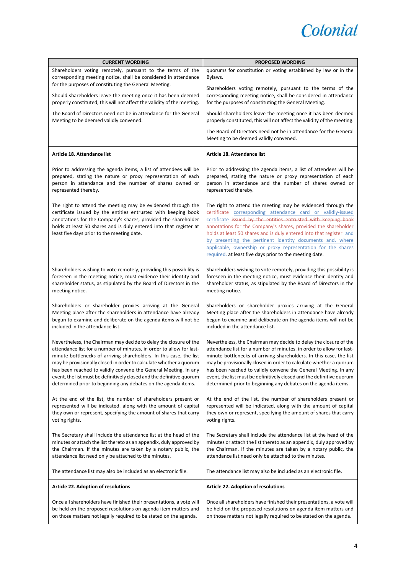

| <b>CURRENT WORDING</b>                                                                                                                                                                                                                                                                                               | <b>PROPOSED WORDING</b>                                                                                                                                                                                                                                                                                                                                                                                                                                                                                                        |
|----------------------------------------------------------------------------------------------------------------------------------------------------------------------------------------------------------------------------------------------------------------------------------------------------------------------|--------------------------------------------------------------------------------------------------------------------------------------------------------------------------------------------------------------------------------------------------------------------------------------------------------------------------------------------------------------------------------------------------------------------------------------------------------------------------------------------------------------------------------|
| Shareholders voting remotely, pursuant to the terms of the                                                                                                                                                                                                                                                           | quorums for constitution or voting established by law or in the                                                                                                                                                                                                                                                                                                                                                                                                                                                                |
| corresponding meeting notice, shall be considered in attendance                                                                                                                                                                                                                                                      | Bylaws.                                                                                                                                                                                                                                                                                                                                                                                                                                                                                                                        |
| for the purposes of constituting the General Meeting.                                                                                                                                                                                                                                                                |                                                                                                                                                                                                                                                                                                                                                                                                                                                                                                                                |
| Should shareholders leave the meeting once it has been deemed<br>properly constituted, this will not affect the validity of the meeting.                                                                                                                                                                             | Shareholders voting remotely, pursuant to the terms of the<br>corresponding meeting notice, shall be considered in attendance<br>for the purposes of constituting the General Meeting.                                                                                                                                                                                                                                                                                                                                         |
| The Board of Directors need not be in attendance for the General                                                                                                                                                                                                                                                     | Should shareholders leave the meeting once it has been deemed                                                                                                                                                                                                                                                                                                                                                                                                                                                                  |
| Meeting to be deemed validly convened.                                                                                                                                                                                                                                                                               | properly constituted, this will not affect the validity of the meeting.                                                                                                                                                                                                                                                                                                                                                                                                                                                        |
|                                                                                                                                                                                                                                                                                                                      | The Board of Directors need not be in attendance for the General<br>Meeting to be deemed validly convened.                                                                                                                                                                                                                                                                                                                                                                                                                     |
| Article 18. Attendance list                                                                                                                                                                                                                                                                                          | Article 18. Attendance list                                                                                                                                                                                                                                                                                                                                                                                                                                                                                                    |
| Prior to addressing the agenda items, a list of attendees will be                                                                                                                                                                                                                                                    | Prior to addressing the agenda items, a list of attendees will be                                                                                                                                                                                                                                                                                                                                                                                                                                                              |
| prepared, stating the nature or proxy representation of each                                                                                                                                                                                                                                                         | prepared, stating the nature or proxy representation of each                                                                                                                                                                                                                                                                                                                                                                                                                                                                   |
| person in attendance and the number of shares owned or                                                                                                                                                                                                                                                               | person in attendance and the number of shares owned or                                                                                                                                                                                                                                                                                                                                                                                                                                                                         |
| represented thereby.                                                                                                                                                                                                                                                                                                 | represented thereby.                                                                                                                                                                                                                                                                                                                                                                                                                                                                                                           |
| The right to attend the meeting may be evidenced through the<br>certificate issued by the entities entrusted with keeping book<br>annotations for the Company's shares, provided the shareholder<br>holds at least 50 shares and is duly entered into that register at<br>least five days prior to the meeting date. | The right to attend the meeting may be evidenced through the<br>eertificate corresponding attendance card or validly-issued<br>certificate issued by the entities entrusted with keeping book<br>annotations for the Company's shares, provided the shareholder<br>holds at least 50 shares and is duly entered into that register-and<br>by presenting the pertinent identity documents and, where<br>applicable, ownership or proxy representation for the shares<br>required, at least five days prior to the meeting date. |
| Shareholders wishing to vote remotely, providing this possibility is                                                                                                                                                                                                                                                 | Shareholders wishing to vote remotely, providing this possibility is                                                                                                                                                                                                                                                                                                                                                                                                                                                           |
| foreseen in the meeting notice, must evidence their identity and                                                                                                                                                                                                                                                     | foreseen in the meeting notice, must evidence their identity and                                                                                                                                                                                                                                                                                                                                                                                                                                                               |
| shareholder status, as stipulated by the Board of Directors in the                                                                                                                                                                                                                                                   | shareholder status, as stipulated by the Board of Directors in the                                                                                                                                                                                                                                                                                                                                                                                                                                                             |
| meeting notice.                                                                                                                                                                                                                                                                                                      | meeting notice.                                                                                                                                                                                                                                                                                                                                                                                                                                                                                                                |
| Shareholders or shareholder proxies arriving at the General                                                                                                                                                                                                                                                          | Shareholders or shareholder proxies arriving at the General                                                                                                                                                                                                                                                                                                                                                                                                                                                                    |
| Meeting place after the shareholders in attendance have already                                                                                                                                                                                                                                                      | Meeting place after the shareholders in attendance have already                                                                                                                                                                                                                                                                                                                                                                                                                                                                |
| begun to examine and deliberate on the agenda items will not be                                                                                                                                                                                                                                                      | begun to examine and deliberate on the agenda items will not be                                                                                                                                                                                                                                                                                                                                                                                                                                                                |
| included in the attendance list.                                                                                                                                                                                                                                                                                     | included in the attendance list.                                                                                                                                                                                                                                                                                                                                                                                                                                                                                               |
| Nevertheless, the Chairman may decide to delay the closure of the                                                                                                                                                                                                                                                    | Nevertheless, the Chairman may decide to delay the closure of the                                                                                                                                                                                                                                                                                                                                                                                                                                                              |
| attendance list for a number of minutes, in order to allow for last-                                                                                                                                                                                                                                                 | attendance list for a number of minutes, in order to allow for last-                                                                                                                                                                                                                                                                                                                                                                                                                                                           |
| minute bottlenecks of arriving shareholders. In this case, the list                                                                                                                                                                                                                                                  | minute bottlenecks of arriving shareholders. In this case, the list                                                                                                                                                                                                                                                                                                                                                                                                                                                            |
| may be provisionally closed in order to calculate whether a quorum                                                                                                                                                                                                                                                   | may be provisionally closed in order to calculate whether a quorum                                                                                                                                                                                                                                                                                                                                                                                                                                                             |
| has been reached to validly convene the General Meeting. In any                                                                                                                                                                                                                                                      | has been reached to validly convene the General Meeting. In any                                                                                                                                                                                                                                                                                                                                                                                                                                                                |
| event, the list must be definitively closed and the definitive quorum                                                                                                                                                                                                                                                | event, the list must be definitively closed and the definitive quorum                                                                                                                                                                                                                                                                                                                                                                                                                                                          |
| determined prior to beginning any debates on the agenda items.                                                                                                                                                                                                                                                       | determined prior to beginning any debates on the agenda items.                                                                                                                                                                                                                                                                                                                                                                                                                                                                 |
| At the end of the list, the number of shareholders present or                                                                                                                                                                                                                                                        | At the end of the list, the number of shareholders present or                                                                                                                                                                                                                                                                                                                                                                                                                                                                  |
| represented will be indicated, along with the amount of capital                                                                                                                                                                                                                                                      | represented will be indicated, along with the amount of capital                                                                                                                                                                                                                                                                                                                                                                                                                                                                |
| they own or represent, specifying the amount of shares that carry                                                                                                                                                                                                                                                    | they own or represent, specifying the amount of shares that carry                                                                                                                                                                                                                                                                                                                                                                                                                                                              |
| voting rights.                                                                                                                                                                                                                                                                                                       | voting rights.                                                                                                                                                                                                                                                                                                                                                                                                                                                                                                                 |
| The Secretary shall include the attendance list at the head of the                                                                                                                                                                                                                                                   | The Secretary shall include the attendance list at the head of the                                                                                                                                                                                                                                                                                                                                                                                                                                                             |
| minutes or attach the list thereto as an appendix, duly approved by                                                                                                                                                                                                                                                  | minutes or attach the list thereto as an appendix, duly approved by                                                                                                                                                                                                                                                                                                                                                                                                                                                            |
| the Chairman. If the minutes are taken by a notary public, the                                                                                                                                                                                                                                                       | the Chairman. If the minutes are taken by a notary public, the                                                                                                                                                                                                                                                                                                                                                                                                                                                                 |
| attendance list need only be attached to the minutes.                                                                                                                                                                                                                                                                | attendance list need only be attached to the minutes.                                                                                                                                                                                                                                                                                                                                                                                                                                                                          |
| The attendance list may also be included as an electronic file.                                                                                                                                                                                                                                                      | The attendance list may also be included as an electronic file.                                                                                                                                                                                                                                                                                                                                                                                                                                                                |
| Article 22. Adoption of resolutions                                                                                                                                                                                                                                                                                  | Article 22. Adoption of resolutions                                                                                                                                                                                                                                                                                                                                                                                                                                                                                            |
| Once all shareholders have finished their presentations, a vote will                                                                                                                                                                                                                                                 | Once all shareholders have finished their presentations, a vote will                                                                                                                                                                                                                                                                                                                                                                                                                                                           |
| be held on the proposed resolutions on agenda item matters and                                                                                                                                                                                                                                                       | be held on the proposed resolutions on agenda item matters and                                                                                                                                                                                                                                                                                                                                                                                                                                                                 |
| on those matters not legally required to be stated on the agenda.                                                                                                                                                                                                                                                    | on those matters not legally required to be stated on the agenda.                                                                                                                                                                                                                                                                                                                                                                                                                                                              |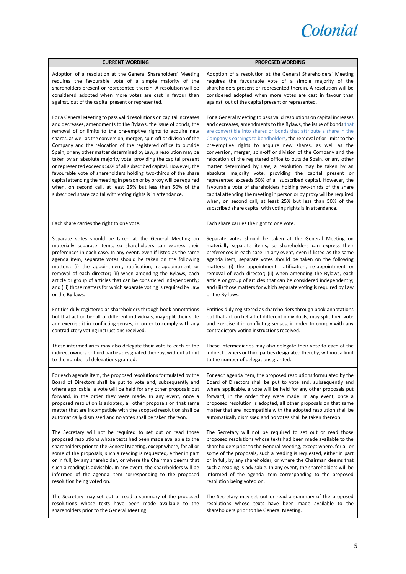

| <b>CURRENT WORDING</b>                                                                                                                                                                                                                                                                                                                                                                                                                                                                                                                                                                                                                                                                                                                                                                                                                           | <b>PROPOSED WORDING</b>                                                                                                                                                                                                                                                                                                                                                                                                                                                                                                                                                                                                                                                                                                                                                                                                                                                                                                                                          |  |
|--------------------------------------------------------------------------------------------------------------------------------------------------------------------------------------------------------------------------------------------------------------------------------------------------------------------------------------------------------------------------------------------------------------------------------------------------------------------------------------------------------------------------------------------------------------------------------------------------------------------------------------------------------------------------------------------------------------------------------------------------------------------------------------------------------------------------------------------------|------------------------------------------------------------------------------------------------------------------------------------------------------------------------------------------------------------------------------------------------------------------------------------------------------------------------------------------------------------------------------------------------------------------------------------------------------------------------------------------------------------------------------------------------------------------------------------------------------------------------------------------------------------------------------------------------------------------------------------------------------------------------------------------------------------------------------------------------------------------------------------------------------------------------------------------------------------------|--|
| Adoption of a resolution at the General Shareholders' Meeting                                                                                                                                                                                                                                                                                                                                                                                                                                                                                                                                                                                                                                                                                                                                                                                    | Adoption of a resolution at the General Shareholders' Meeting                                                                                                                                                                                                                                                                                                                                                                                                                                                                                                                                                                                                                                                                                                                                                                                                                                                                                                    |  |
| requires the favourable vote of a simple majority of the                                                                                                                                                                                                                                                                                                                                                                                                                                                                                                                                                                                                                                                                                                                                                                                         | requires the favourable vote of a simple majority of the                                                                                                                                                                                                                                                                                                                                                                                                                                                                                                                                                                                                                                                                                                                                                                                                                                                                                                         |  |
| shareholders present or represented therein. A resolution will be                                                                                                                                                                                                                                                                                                                                                                                                                                                                                                                                                                                                                                                                                                                                                                                | shareholders present or represented therein. A resolution will be                                                                                                                                                                                                                                                                                                                                                                                                                                                                                                                                                                                                                                                                                                                                                                                                                                                                                                |  |
| considered adopted when more votes are cast in favour than                                                                                                                                                                                                                                                                                                                                                                                                                                                                                                                                                                                                                                                                                                                                                                                       | considered adopted when more votes are cast in favour than                                                                                                                                                                                                                                                                                                                                                                                                                                                                                                                                                                                                                                                                                                                                                                                                                                                                                                       |  |
| against, out of the capital present or represented.                                                                                                                                                                                                                                                                                                                                                                                                                                                                                                                                                                                                                                                                                                                                                                                              | against, out of the capital present or represented.                                                                                                                                                                                                                                                                                                                                                                                                                                                                                                                                                                                                                                                                                                                                                                                                                                                                                                              |  |
| For a General Meeting to pass valid resolutions on capital increases<br>and decreases, amendments to the Bylaws, the issue of bonds, the<br>removal of or limits to the pre-emptive rights to acquire new<br>shares, as well as the conversion, merger, spin-off or division of the<br>Company and the relocation of the registered office to outside<br>Spain, or any other matter determined by Law, a resolution may be<br>taken by an absolute majority vote, providing the capital present<br>or represented exceeds 50% of all subscribed capital. However, the<br>favourable vote of shareholders holding two-thirds of the share<br>capital attending the meeting in person or by proxy will be required<br>when, on second call, at least 25% but less than 50% of the<br>subscribed share capital with voting rights is in attendance. | For a General Meeting to pass valid resolutions on capital increases<br>and decreases, amendments to the Bylaws, the issue of bonds that<br>are convertible into shares or bonds that attribute a share in the<br>Company's earnings to bondholders, the removal of or limits to the<br>pre-emptive rights to acquire new shares, as well as the<br>conversion, merger, spin-off or division of the Company and the<br>relocation of the registered office to outside Spain, or any other<br>matter determined by Law, a resolution may be taken by an<br>absolute majority vote, providing the capital present or<br>represented exceeds 50% of all subscribed capital. However, the<br>favourable vote of shareholders holding two-thirds of the share<br>capital attending the meeting in person or by proxy will be required<br>when, on second call, at least 25% but less than 50% of the<br>subscribed share capital with voting rights is in attendance. |  |
| Each share carries the right to one vote.                                                                                                                                                                                                                                                                                                                                                                                                                                                                                                                                                                                                                                                                                                                                                                                                        | Each share carries the right to one vote.                                                                                                                                                                                                                                                                                                                                                                                                                                                                                                                                                                                                                                                                                                                                                                                                                                                                                                                        |  |
| Separate votes should be taken at the General Meeting on                                                                                                                                                                                                                                                                                                                                                                                                                                                                                                                                                                                                                                                                                                                                                                                         | Separate votes should be taken at the General Meeting on                                                                                                                                                                                                                                                                                                                                                                                                                                                                                                                                                                                                                                                                                                                                                                                                                                                                                                         |  |
| materially separate items, so shareholders can express their                                                                                                                                                                                                                                                                                                                                                                                                                                                                                                                                                                                                                                                                                                                                                                                     | materially separate items, so shareholders can express their                                                                                                                                                                                                                                                                                                                                                                                                                                                                                                                                                                                                                                                                                                                                                                                                                                                                                                     |  |
| preferences in each case. In any event, even if listed as the same                                                                                                                                                                                                                                                                                                                                                                                                                                                                                                                                                                                                                                                                                                                                                                               | preferences in each case. In any event, even if listed as the same                                                                                                                                                                                                                                                                                                                                                                                                                                                                                                                                                                                                                                                                                                                                                                                                                                                                                               |  |
| agenda item, separate votes should be taken on the following                                                                                                                                                                                                                                                                                                                                                                                                                                                                                                                                                                                                                                                                                                                                                                                     | agenda item, separate votes should be taken on the following                                                                                                                                                                                                                                                                                                                                                                                                                                                                                                                                                                                                                                                                                                                                                                                                                                                                                                     |  |
| matters: (i) the appointment, ratification, re-appointment or                                                                                                                                                                                                                                                                                                                                                                                                                                                                                                                                                                                                                                                                                                                                                                                    | matters: (i) the appointment, ratification, re-appointment or                                                                                                                                                                                                                                                                                                                                                                                                                                                                                                                                                                                                                                                                                                                                                                                                                                                                                                    |  |
| removal of each director; (ii) when amending the Bylaws, each                                                                                                                                                                                                                                                                                                                                                                                                                                                                                                                                                                                                                                                                                                                                                                                    | removal of each director; (ii) when amending the Bylaws, each                                                                                                                                                                                                                                                                                                                                                                                                                                                                                                                                                                                                                                                                                                                                                                                                                                                                                                    |  |
| article or group of articles that can be considered independently;                                                                                                                                                                                                                                                                                                                                                                                                                                                                                                                                                                                                                                                                                                                                                                               | article or group of articles that can be considered independently;                                                                                                                                                                                                                                                                                                                                                                                                                                                                                                                                                                                                                                                                                                                                                                                                                                                                                               |  |
| and (iii) those matters for which separate voting is required by Law                                                                                                                                                                                                                                                                                                                                                                                                                                                                                                                                                                                                                                                                                                                                                                             | and (iii) those matters for which separate voting is required by Law                                                                                                                                                                                                                                                                                                                                                                                                                                                                                                                                                                                                                                                                                                                                                                                                                                                                                             |  |
| or the By-laws.                                                                                                                                                                                                                                                                                                                                                                                                                                                                                                                                                                                                                                                                                                                                                                                                                                  | or the By-laws.                                                                                                                                                                                                                                                                                                                                                                                                                                                                                                                                                                                                                                                                                                                                                                                                                                                                                                                                                  |  |
| Entities duly registered as shareholders through book annotations                                                                                                                                                                                                                                                                                                                                                                                                                                                                                                                                                                                                                                                                                                                                                                                | Entities duly registered as shareholders through book annotations                                                                                                                                                                                                                                                                                                                                                                                                                                                                                                                                                                                                                                                                                                                                                                                                                                                                                                |  |
| but that act on behalf of different individuals, may split their vote                                                                                                                                                                                                                                                                                                                                                                                                                                                                                                                                                                                                                                                                                                                                                                            | but that act on behalf of different individuals, may split their vote                                                                                                                                                                                                                                                                                                                                                                                                                                                                                                                                                                                                                                                                                                                                                                                                                                                                                            |  |
| and exercise it in conflicting senses, in order to comply with any                                                                                                                                                                                                                                                                                                                                                                                                                                                                                                                                                                                                                                                                                                                                                                               | and exercise it in conflicting senses, in order to comply with any                                                                                                                                                                                                                                                                                                                                                                                                                                                                                                                                                                                                                                                                                                                                                                                                                                                                                               |  |
| contradictory voting instructions received.                                                                                                                                                                                                                                                                                                                                                                                                                                                                                                                                                                                                                                                                                                                                                                                                      | contradictory voting instructions received.                                                                                                                                                                                                                                                                                                                                                                                                                                                                                                                                                                                                                                                                                                                                                                                                                                                                                                                      |  |
| These intermediaries may also delegate their vote to each of the                                                                                                                                                                                                                                                                                                                                                                                                                                                                                                                                                                                                                                                                                                                                                                                 | These intermediaries may also delegate their vote to each of the                                                                                                                                                                                                                                                                                                                                                                                                                                                                                                                                                                                                                                                                                                                                                                                                                                                                                                 |  |
| indirect owners or third parties designated thereby, without a limit                                                                                                                                                                                                                                                                                                                                                                                                                                                                                                                                                                                                                                                                                                                                                                             | indirect owners or third parties designated thereby, without a limit                                                                                                                                                                                                                                                                                                                                                                                                                                                                                                                                                                                                                                                                                                                                                                                                                                                                                             |  |
| to the number of delegations granted.                                                                                                                                                                                                                                                                                                                                                                                                                                                                                                                                                                                                                                                                                                                                                                                                            | to the number of delegations granted.                                                                                                                                                                                                                                                                                                                                                                                                                                                                                                                                                                                                                                                                                                                                                                                                                                                                                                                            |  |
| For each agenda item, the proposed resolutions formulated by the                                                                                                                                                                                                                                                                                                                                                                                                                                                                                                                                                                                                                                                                                                                                                                                 | For each agenda item, the proposed resolutions formulated by the                                                                                                                                                                                                                                                                                                                                                                                                                                                                                                                                                                                                                                                                                                                                                                                                                                                                                                 |  |
| Board of Directors shall be put to vote and, subsequently and                                                                                                                                                                                                                                                                                                                                                                                                                                                                                                                                                                                                                                                                                                                                                                                    | Board of Directors shall be put to vote and, subsequently and                                                                                                                                                                                                                                                                                                                                                                                                                                                                                                                                                                                                                                                                                                                                                                                                                                                                                                    |  |
| where applicable, a vote will be held for any other proposals put                                                                                                                                                                                                                                                                                                                                                                                                                                                                                                                                                                                                                                                                                                                                                                                | where applicable, a vote will be held for any other proposals put                                                                                                                                                                                                                                                                                                                                                                                                                                                                                                                                                                                                                                                                                                                                                                                                                                                                                                |  |
| forward, in the order they were made. In any event, once a                                                                                                                                                                                                                                                                                                                                                                                                                                                                                                                                                                                                                                                                                                                                                                                       | forward, in the order they were made. In any event, once a                                                                                                                                                                                                                                                                                                                                                                                                                                                                                                                                                                                                                                                                                                                                                                                                                                                                                                       |  |
| proposed resolution is adopted, all other proposals on that same                                                                                                                                                                                                                                                                                                                                                                                                                                                                                                                                                                                                                                                                                                                                                                                 | proposed resolution is adopted, all other proposals on that same                                                                                                                                                                                                                                                                                                                                                                                                                                                                                                                                                                                                                                                                                                                                                                                                                                                                                                 |  |
| matter that are incompatible with the adopted resolution shall be                                                                                                                                                                                                                                                                                                                                                                                                                                                                                                                                                                                                                                                                                                                                                                                | matter that are incompatible with the adopted resolution shall be                                                                                                                                                                                                                                                                                                                                                                                                                                                                                                                                                                                                                                                                                                                                                                                                                                                                                                |  |
| automatically dismissed and no votes shall be taken thereon.                                                                                                                                                                                                                                                                                                                                                                                                                                                                                                                                                                                                                                                                                                                                                                                     | automatically dismissed and no votes shall be taken thereon.                                                                                                                                                                                                                                                                                                                                                                                                                                                                                                                                                                                                                                                                                                                                                                                                                                                                                                     |  |
| The Secretary will not be required to set out or read those                                                                                                                                                                                                                                                                                                                                                                                                                                                                                                                                                                                                                                                                                                                                                                                      | The Secretary will not be required to set out or read those                                                                                                                                                                                                                                                                                                                                                                                                                                                                                                                                                                                                                                                                                                                                                                                                                                                                                                      |  |
| proposed resolutions whose texts had been made available to the                                                                                                                                                                                                                                                                                                                                                                                                                                                                                                                                                                                                                                                                                                                                                                                  | proposed resolutions whose texts had been made available to the                                                                                                                                                                                                                                                                                                                                                                                                                                                                                                                                                                                                                                                                                                                                                                                                                                                                                                  |  |
| shareholders prior to the General Meeting, except where, for all or                                                                                                                                                                                                                                                                                                                                                                                                                                                                                                                                                                                                                                                                                                                                                                              | shareholders prior to the General Meeting, except where, for all or                                                                                                                                                                                                                                                                                                                                                                                                                                                                                                                                                                                                                                                                                                                                                                                                                                                                                              |  |
| some of the proposals, such a reading is requested, either in part                                                                                                                                                                                                                                                                                                                                                                                                                                                                                                                                                                                                                                                                                                                                                                               | some of the proposals, such a reading is requested, either in part                                                                                                                                                                                                                                                                                                                                                                                                                                                                                                                                                                                                                                                                                                                                                                                                                                                                                               |  |
| or in full, by any shareholder, or where the Chairman deems that                                                                                                                                                                                                                                                                                                                                                                                                                                                                                                                                                                                                                                                                                                                                                                                 | or in full, by any shareholder, or where the Chairman deems that                                                                                                                                                                                                                                                                                                                                                                                                                                                                                                                                                                                                                                                                                                                                                                                                                                                                                                 |  |
| such a reading is advisable. In any event, the shareholders will be                                                                                                                                                                                                                                                                                                                                                                                                                                                                                                                                                                                                                                                                                                                                                                              | such a reading is advisable. In any event, the shareholders will be                                                                                                                                                                                                                                                                                                                                                                                                                                                                                                                                                                                                                                                                                                                                                                                                                                                                                              |  |
| informed of the agenda item corresponding to the proposed                                                                                                                                                                                                                                                                                                                                                                                                                                                                                                                                                                                                                                                                                                                                                                                        | informed of the agenda item corresponding to the proposed                                                                                                                                                                                                                                                                                                                                                                                                                                                                                                                                                                                                                                                                                                                                                                                                                                                                                                        |  |
| resolution being voted on.                                                                                                                                                                                                                                                                                                                                                                                                                                                                                                                                                                                                                                                                                                                                                                                                                       | resolution being voted on.                                                                                                                                                                                                                                                                                                                                                                                                                                                                                                                                                                                                                                                                                                                                                                                                                                                                                                                                       |  |
| The Secretary may set out or read a summary of the proposed                                                                                                                                                                                                                                                                                                                                                                                                                                                                                                                                                                                                                                                                                                                                                                                      | The Secretary may set out or read a summary of the proposed                                                                                                                                                                                                                                                                                                                                                                                                                                                                                                                                                                                                                                                                                                                                                                                                                                                                                                      |  |
| resolutions whose texts have been made available to the                                                                                                                                                                                                                                                                                                                                                                                                                                                                                                                                                                                                                                                                                                                                                                                          | resolutions whose texts have been made available to the                                                                                                                                                                                                                                                                                                                                                                                                                                                                                                                                                                                                                                                                                                                                                                                                                                                                                                          |  |
| shareholders prior to the General Meeting.                                                                                                                                                                                                                                                                                                                                                                                                                                                                                                                                                                                                                                                                                                                                                                                                       | shareholders prior to the General Meeting.                                                                                                                                                                                                                                                                                                                                                                                                                                                                                                                                                                                                                                                                                                                                                                                                                                                                                                                       |  |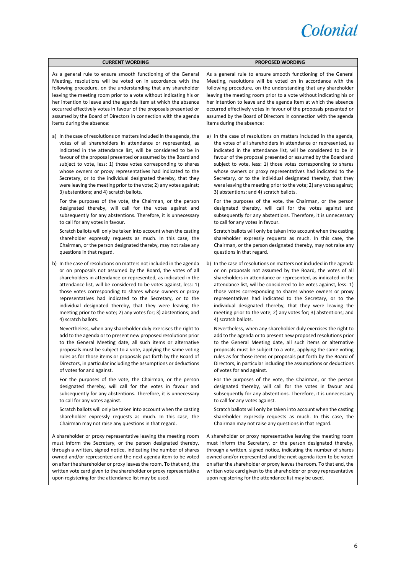

| <b>CURRENT WORDING</b>                                               | <b>PROPOSED WORDING</b>                                             |  |
|----------------------------------------------------------------------|---------------------------------------------------------------------|--|
| As a general rule to ensure smooth functioning of the General        | As a general rule to ensure smooth functioning of the General       |  |
| Meeting, resolutions will be voted on in accordance with the         | Meeting, resolutions will be voted on in accordance with the        |  |
| following procedure, on the understanding that any shareholder       | following procedure, on the understanding that any shareholder      |  |
| leaving the meeting room prior to a vote without indicating his or   | leaving the meeting room prior to a vote without indicating his or  |  |
| her intention to leave and the agenda item at which the absence      | her intention to leave and the agenda item at which the absence     |  |
| occurred effectively votes in favour of the proposals presented or   | occurred effectively votes in favour of the proposals presented or  |  |
| assumed by the Board of Directors in connection with the agenda      | assumed by the Board of Directors in connection with the agenda     |  |
| items during the absence:                                            | items during the absence:                                           |  |
| a) In the case of resolutions on matters included in the agenda, the | a) In the case of resolutions on matters included in the agenda,    |  |
| votes of all shareholders in attendance or represented, as           | the votes of all shareholders in attendance or represented, as      |  |
| indicated in the attendance list, will be considered to be in        | indicated in the attendance list, will be considered to be in       |  |
| favour of the proposal presented or assumed by the Board and         | favour of the proposal presented or assumed by the Board and        |  |
| subject to vote, less: 1) those votes corresponding to shares        | subject to vote, less: 1) those votes corresponding to shares       |  |
| whose owners or proxy representatives had indicated to the           | whose owners or proxy representatives had indicated to the          |  |
| Secretary, or to the individual designated thereby, that they        | Secretary, or to the individual designated thereby, that they       |  |
| were leaving the meeting prior to the vote; 2) any votes against;    | were leaving the meeting prior to the vote; 2) any votes against;   |  |
| 3) abstentions; and 4) scratch ballots.                              | 3) abstentions; and 4) scratch ballots.                             |  |
| For the purposes of the vote, the Chairman, or the person            | For the purposes of the vote, the Chairman, or the person           |  |
| designated thereby, will call for the votes against and              | designated thereby, will call for the votes against and             |  |
| subsequently for any abstentions. Therefore, it is unnecessary       | subsequently for any abstentions. Therefore, it is unnecessary      |  |
| to call for any votes in favour.                                     | to call for any votes in favour.                                    |  |
| Scratch ballots will only be taken into account when the casting     | Scratch ballots will only be taken into account when the casting    |  |
| shareholder expressly requests as much. In this case, the            | shareholder expressly requests as much. In this case, the           |  |
| Chairman, or the person designated thereby, may not raise any        | Chairman, or the person designated thereby, may not raise any       |  |
| questions in that regard.                                            | questions in that regard.                                           |  |
| b) In the case of resolutions on matters not included in the agenda  | b) In the case of resolutions on matters not included in the agenda |  |
| or on proposals not assumed by the Board, the votes of all           | or on proposals not assumed by the Board, the votes of all          |  |
| shareholders in attendance or represented, as indicated in the       | shareholders in attendance or represented, as indicated in the      |  |
| attendance list, will be considered to be votes against, less: 1)    | attendance list, will be considered to be votes against, less: 1)   |  |
| those votes corresponding to shares whose owners or proxy            | those votes corresponding to shares whose owners or proxy           |  |
| representatives had indicated to the Secretary, or to the            | representatives had indicated to the Secretary, or to the           |  |
| individual designated thereby, that they were leaving the            | individual designated thereby, that they were leaving the           |  |
| meeting prior to the vote; 2) any votes for; 3) abstentions; and     | meeting prior to the vote; 2) any votes for; 3) abstentions; and    |  |
| 4) scratch ballots.                                                  | 4) scratch ballots.                                                 |  |
| Nevertheless, when any shareholder duly exercises the right to       | Nevertheless, when any shareholder duly exercises the right to      |  |
| add to the agenda or to present new proposed resolutions prior       | add to the agenda or to present new proposed resolutions prior      |  |
| to the General Meeting date, all such items or alternative           | to the General Meeting date, all such items or alternative          |  |
| proposals must be subject to a vote, applying the same voting        | proposals must be subject to a vote, applying the same voting       |  |
| rules as for those items or proposals put forth by the Board of      | rules as for those items or proposals put forth by the Board of     |  |
| Directors, in particular including the assumptions or deductions     | Directors, in particular including the assumptions or deductions    |  |
| of votes for and against.                                            | of votes for and against.                                           |  |
| For the purposes of the vote, the Chairman, or the person            | For the purposes of the vote, the Chairman, or the person           |  |
| designated thereby, will call for the votes in favour and            | designated thereby, will call for the votes in favour and           |  |
| subsequently for any abstentions. Therefore, it is unnecessary       | subsequently for any abstentions. Therefore, it is unnecessary      |  |
| to call for any votes against.                                       | to call for any votes against.                                      |  |
| Scratch ballots will only be taken into account when the casting     | Scratch ballots will only be taken into account when the casting    |  |
| shareholder expressly requests as much. In this case, the            | shareholder expressly requests as much. In this case, the           |  |
| Chairman may not raise any questions in that regard.                 | Chairman may not raise any questions in that regard.                |  |
| A shareholder or proxy representative leaving the meeting room       | A shareholder or proxy representative leaving the meeting room      |  |
| must inform the Secretary, or the person designated thereby,         | must inform the Secretary, or the person designated thereby,        |  |
| through a written, signed notice, indicating the number of shares    | through a written, signed notice, indicating the number of shares   |  |
| owned and/or represented and the next agenda item to be voted        | owned and/or represented and the next agenda item to be voted       |  |
| on after the shareholder or proxy leaves the room. To that end, the  | on after the shareholder or proxy leaves the room. To that end, the |  |
| written vote card given to the shareholder or proxy representative   | written vote card given to the shareholder or proxy representative  |  |
| upon registering for the attendance list may be used.                | upon registering for the attendance list may be used.               |  |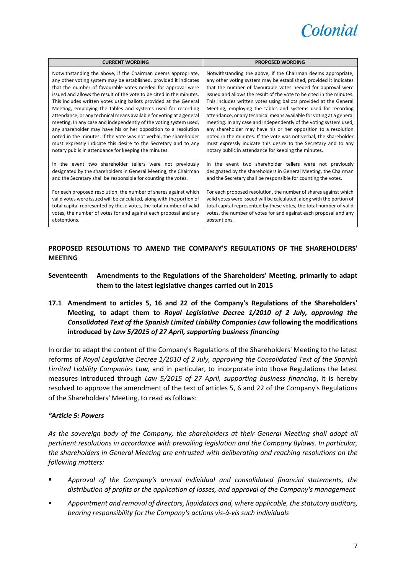

| <b>CURRENT WORDING</b>                                                | <b>PROPOSED WORDING</b>                                               |
|-----------------------------------------------------------------------|-----------------------------------------------------------------------|
| Notwithstanding the above, if the Chairman deems appropriate,         | Notwithstanding the above, if the Chairman deems appropriate,         |
| any other voting system may be established, provided it indicates     | any other voting system may be established, provided it indicates     |
| that the number of favourable votes needed for approval were          | that the number of favourable votes needed for approval were          |
| issued and allows the result of the vote to be cited in the minutes.  | issued and allows the result of the vote to be cited in the minutes.  |
| This includes written votes using ballots provided at the General     | This includes written votes using ballots provided at the General     |
| Meeting, employing the tables and systems used for recording          | Meeting, employing the tables and systems used for recording          |
| attendance, or any technical means available for voting at a general  | attendance, or any technical means available for voting at a general  |
| meeting. In any case and independently of the voting system used,     | meeting. In any case and independently of the voting system used,     |
| any shareholder may have his or her opposition to a resolution        | any shareholder may have his or her opposition to a resolution        |
| noted in the minutes. If the vote was not verbal, the shareholder     | noted in the minutes. If the vote was not verbal, the shareholder     |
| must expressly indicate this desire to the Secretary and to any       | must expressly indicate this desire to the Secretary and to any       |
| notary public in attendance for keeping the minutes.                  | notary public in attendance for keeping the minutes.                  |
| In the event two shareholder tellers were not previously              | In the event two shareholder tellers were not previously              |
| designated by the shareholders in General Meeting, the Chairman       | designated by the shareholders in General Meeting, the Chairman       |
| and the Secretary shall be responsible for counting the votes.        | and the Secretary shall be responsible for counting the votes.        |
| For each proposed resolution, the number of shares against which      | For each proposed resolution, the number of shares against which      |
| valid votes were issued will be calculated, along with the portion of | valid votes were issued will be calculated, along with the portion of |
| total capital represented by these votes, the total number of valid   | total capital represented by these votes, the total number of valid   |
| votes, the number of votes for and against each proposal and any      | votes, the number of votes for and against each proposal and any      |
| abstentions.                                                          | abstentions.                                                          |

**PROPOSED RESOLUTIONS TO AMEND THE COMPANY'S REGULATIONS OF THE SHAREHOLDERS' MEETING**

- **Seventeenth Amendments to the Regulations of the Shareholders' Meeting, primarily to adapt them to the latest legislative changes carried out in 2015**
- **17.1 Amendment to articles 5, 16 and 22 of the Company's Regulations of the Shareholders' Meeting, to adapt them to** *Royal Legislative Decree 1/2010 of 2 July, approving the Consolidated Text of the Spanish Limited Liability Companies Law* **following the modifications introduced by** *Law 5/2015 of 27 April, supporting business financing*

In order to adapt the content of the Company's Regulations of the Shareholders' Meeting to the latest reforms of *Royal Legislative Decree 1/2010 of 2 July, approving the Consolidated Text of the Spanish Limited Liability Companies Law*, and in particular, to incorporate into those Regulations the latest measures introduced through *Law 5/2015 of 27 April, supporting business financing*, it is hereby resolved to approve the amendment of the text of articles 5, 6 and 22 of the Company's Regulations of the Shareholders' Meeting, to read as follows:

### *"Article 5: Powers*

*As the sovereign body of the Company, the shareholders at their General Meeting shall adopt all pertinent resolutions in accordance with prevailing legislation and the Company Bylaws. In particular, the shareholders in General Meeting are entrusted with deliberating and reaching resolutions on the following matters:*

- *Approval of the Company's annual individual and consolidated financial statements, the distribution of profits or the application of losses, and approval of the Company's management*
- *Appointment and removal of directors, liquidators and, where applicable, the statutory auditors, bearing responsibility for the Company's actions vis-à-vis such individuals*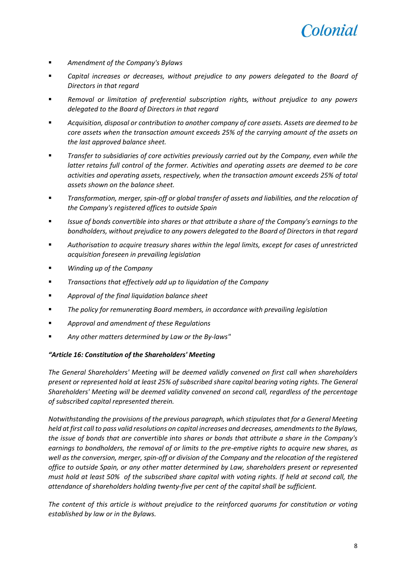

- *Amendment of the Company's Bylaws*
- *Capital increases or decreases, without prejudice to any powers delegated to the Board of Directors in that regard*
- *Removal or limitation of preferential subscription rights, without prejudice to any powers delegated to the Board of Directors in that regard*
- *Acquisition, disposal or contribution to another company of core assets. Assets are deemed to be core assets when the transaction amount exceeds 25% of the carrying amount of the assets on the last approved balance sheet.*
- *Transfer to subsidiaries of core activities previously carried out by the Company, even while the latter retains full control of the former. Activities and operating assets are deemed to be core activities and operating assets, respectively, when the transaction amount exceeds 25% of total assets shown on the balance sheet.*
- *Transformation, merger, spin-off or global transfer of assets and liabilities, and the relocation of the Company's registered offices to outside Spain*
- *Issue of bonds convertible into shares or that attribute a share of the Company's earnings to the bondholders, without prejudice to any powers delegated to the Board of Directors in that regard*
- *Authorisation to acquire treasury shares within the legal limits, except for cases of unrestricted acquisition foreseen in prevailing legislation*
- *Winding up of the Company*
- *Transactions that effectively add up to liquidation of the Company*
- *Approval of the final liquidation balance sheet*
- *The policy for remunerating Board members, in accordance with prevailing legislation*
- *Approval and amendment of these Regulations*
- *Any other matters determined by Law or the By-laws"*

### *"Article 16: Constitution of the Shareholders' Meeting*

*The General Shareholders' Meeting will be deemed validly convened on first call when shareholders present or represented hold at least 25% of subscribed share capital bearing voting rights. The General Shareholders' Meeting will be deemed validity convened on second call, regardless of the percentage of subscribed capital represented therein.*

*Notwithstanding the provisions of the previous paragraph, which stipulates that for a General Meeting held at first call to pass valid resolutions on capital increases and decreases, amendments to the Bylaws, the issue of bonds that are convertible into shares or bonds that attribute a share in the Company's earnings to bondholders, the removal of or limits to the pre-emptive rights to acquire new shares, as well as the conversion, merger, spin-off or division of the Company and the relocation of the registered office to outside Spain, or any other matter determined by Law, shareholders present or represented must hold at least 50% of the subscribed share capital with voting rights. If held at second call, the attendance of shareholders holding twenty-five per cent of the capital shall be sufficient.*

*The content of this article is without prejudice to the reinforced quorums for constitution or voting established by law or in the Bylaws.*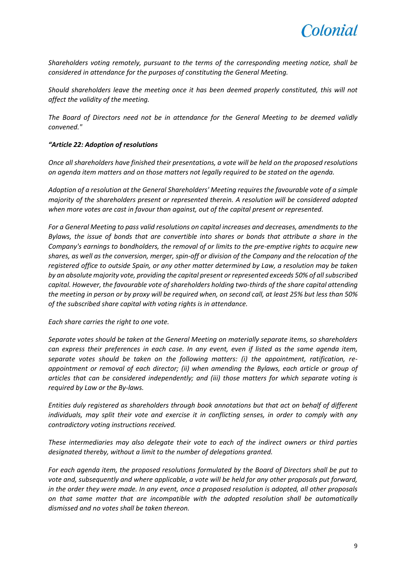

*Shareholders voting remotely, pursuant to the terms of the corresponding meeting notice, shall be considered in attendance for the purposes of constituting the General Meeting.*

*Should shareholders leave the meeting once it has been deemed properly constituted, this will not affect the validity of the meeting.*

*The Board of Directors need not be in attendance for the General Meeting to be deemed validly convened."*

# *"Article 22: Adoption of resolutions*

*Once all shareholders have finished their presentations, a vote will be held on the proposed resolutions on agenda item matters and on those matters not legally required to be stated on the agenda.*

*Adoption of a resolution at the General Shareholders' Meeting requires the favourable vote of a simple majority of the shareholders present or represented therein. A resolution will be considered adopted when more votes are cast in favour than against, out of the capital present or represented.*

*For a General Meeting to pass valid resolutions on capital increases and decreases, amendments to the Bylaws, the issue of bonds that are convertible into shares or bonds that attribute a share in the Company's earnings to bondholders, the removal of or limits to the pre-emptive rights to acquire new shares, as well as the conversion, merger, spin-off or division of the Company and the relocation of the registered office to outside Spain, or any other matter determined by Law, a resolution may be taken by an absolute majority vote, providing the capital present or represented exceeds 50% of all subscribed capital. However, the favourable vote of shareholders holding two-thirds of the share capital attending the meeting in person or by proxy will be required when, on second call, at least 25% but less than 50% of the subscribed share capital with voting rights is in attendance.*

*Each share carries the right to one vote.*

*Separate votes should be taken at the General Meeting on materially separate items, so shareholders can express their preferences in each case. In any event, even if listed as the same agenda item, separate votes should be taken on the following matters: (i) the appointment, ratification, reappointment or removal of each director; (ii) when amending the Bylaws, each article or group of articles that can be considered independently; and (iii) those matters for which separate voting is required by Law or the By-laws.*

*Entities duly registered as shareholders through book annotations but that act on behalf of different individuals, may split their vote and exercise it in conflicting senses, in order to comply with any contradictory voting instructions received.*

*These intermediaries may also delegate their vote to each of the indirect owners or third parties designated thereby, without a limit to the number of delegations granted.*

*For each agenda item, the proposed resolutions formulated by the Board of Directors shall be put to vote and, subsequently and where applicable, a vote will be held for any other proposals put forward, in the order they were made. In any event, once a proposed resolution is adopted, all other proposals on that same matter that are incompatible with the adopted resolution shall be automatically dismissed and no votes shall be taken thereon.*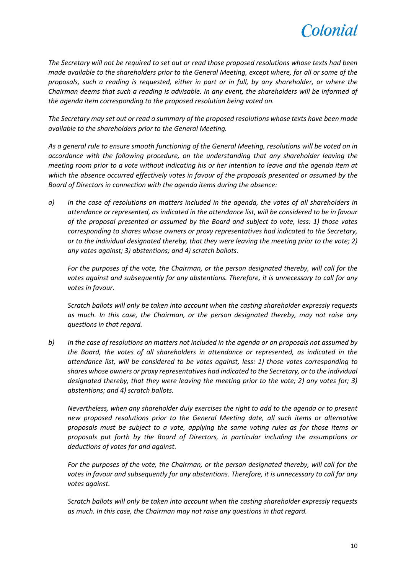

*The Secretary will not be required to set out or read those proposed resolutions whose texts had been made available to the shareholders prior to the General Meeting, except where, for all or some of the proposals, such a reading is requested, either in part or in full, by any shareholder, or where the Chairman deems that such a reading is advisable. In any event, the shareholders will be informed of the agenda item corresponding to the proposed resolution being voted on.*

*The Secretary may set out or read a summary of the proposed resolutions whose texts have been made available to the shareholders prior to the General Meeting.*

*As a general rule to ensure smooth functioning of the General Meeting, resolutions will be voted on in accordance with the following procedure, on the understanding that any shareholder leaving the meeting room prior to a vote without indicating his or her intention to leave and the agenda item at which the absence occurred effectively votes in favour of the proposals presented or assumed by the Board of Directors in connection with the agenda items during the absence:*

*a) In the case of resolutions on matters included in the agenda, the votes of all shareholders in attendance or represented, as indicated in the attendance list, will be considered to be in favour of the proposal presented or assumed by the Board and subject to vote, less: 1) those votes corresponding to shares whose owners or proxy representatives had indicated to the Secretary, or to the individual designated thereby, that they were leaving the meeting prior to the vote; 2) any votes against; 3) abstentions; and 4) scratch ballots.*

*For the purposes of the vote, the Chairman, or the person designated thereby, will call for the votes against and subsequently for any abstentions. Therefore, it is unnecessary to call for any votes in favour.*

*Scratch ballots will only be taken into account when the casting shareholder expressly requests as much. In this case, the Chairman, or the person designated thereby, may not raise any questions in that regard.*

*b) In the case of resolutions on matters not included in the agenda or on proposals not assumed by the Board, the votes of all shareholders in attendance or represented, as indicated in the attendance list, will be considered to be votes against, less: 1) those votes corresponding to shares whose owners or proxy representatives had indicated to the Secretary, or to the individual designated thereby, that they were leaving the meeting prior to the vote; 2) any votes for; 3) abstentions; and 4) scratch ballots.*

*Nevertheless, when any shareholder duly exercises the right to add to the agenda or to present new proposed resolutions prior to the General Meeting date, all such items or alternative proposals must be subject to a vote, applying the same voting rules as for those items or proposals put forth by the Board of Directors, in particular including the assumptions or deductions of votes for and against.*

*For the purposes of the vote, the Chairman, or the person designated thereby, will call for the votes in favour and subsequently for any abstentions. Therefore, it is unnecessary to call for any votes against.*

*Scratch ballots will only be taken into account when the casting shareholder expressly requests as much. In this case, the Chairman may not raise any questions in that regard.*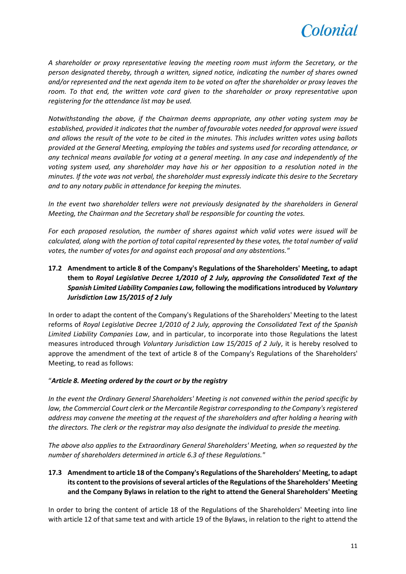

*A shareholder or proxy representative leaving the meeting room must inform the Secretary, or the person designated thereby, through a written, signed notice, indicating the number of shares owned and/or represented and the next agenda item to be voted on after the shareholder or proxy leaves the room. To that end, the written vote card given to the shareholder or proxy representative upon registering for the attendance list may be used.*

*Notwithstanding the above, if the Chairman deems appropriate, any other voting system may be established, provided it indicates that the number of favourable votes needed for approval were issued and allows the result of the vote to be cited in the minutes. This includes written votes using ballots provided at the General Meeting, employing the tables and systems used for recording attendance, or any technical means available for voting at a general meeting. In any case and independently of the voting system used, any shareholder may have his or her opposition to a resolution noted in the minutes. If the vote was not verbal, the shareholder must expressly indicate this desire to the Secretary and to any notary public in attendance for keeping the minutes.*

*In the event two shareholder tellers were not previously designated by the shareholders in General Meeting, the Chairman and the Secretary shall be responsible for counting the votes.*

*For each proposed resolution, the number of shares against which valid votes were issued will be calculated, along with the portion of total capital represented by these votes, the total number of valid votes, the number of votes for and against each proposal and any abstentions."*

**17.2 Amendment to article 8 of the Company's Regulations of the Shareholders' Meeting, to adapt them to** *Royal Legislative Decree 1/2010 of 2 July, approving the Consolidated Text of the Spanish Limited Liability Companies Law,* **following the modifications introduced by** *Voluntary Jurisdiction Law 15/2015 of 2 July*

In order to adapt the content of the Company's Regulations of the Shareholders' Meeting to the latest reforms of *Royal Legislative Decree 1/2010 of 2 July, approving the Consolidated Text of the Spanish Limited Liability Companies Law*, and in particular, to incorporate into those Regulations the latest measures introduced through *Voluntary Jurisdiction Law 15/2015 of 2 July*, it is hereby resolved to approve the amendment of the text of article 8 of the Company's Regulations of the Shareholders' Meeting, to read as follows:

### "*Article 8. Meeting ordered by the court or by the registry*

*In the event the Ordinary General Shareholders' Meeting is not convened within the period specific by law, the Commercial Court clerk or the Mercantile Registrar corresponding to the Company's registered address may convene the meeting at the request of the shareholders and after holding a hearing with the directors. The clerk or the registrar may also designate the individual to preside the meeting.*

*The above also applies to the Extraordinary General Shareholders' Meeting, when so requested by the number of shareholders determined in article 6.3 of these Regulations."*

**17.3 Amendment to article 18 of the Company's Regulations of the Shareholders' Meeting, to adapt its content to the provisions of several articles of the Regulations of the Shareholders' Meeting and the Company Bylaws in relation to the right to attend the General Shareholders' Meeting**

In order to bring the content of article 18 of the Regulations of the Shareholders' Meeting into line with article 12 of that same text and with article 19 of the Bylaws, in relation to the right to attend the